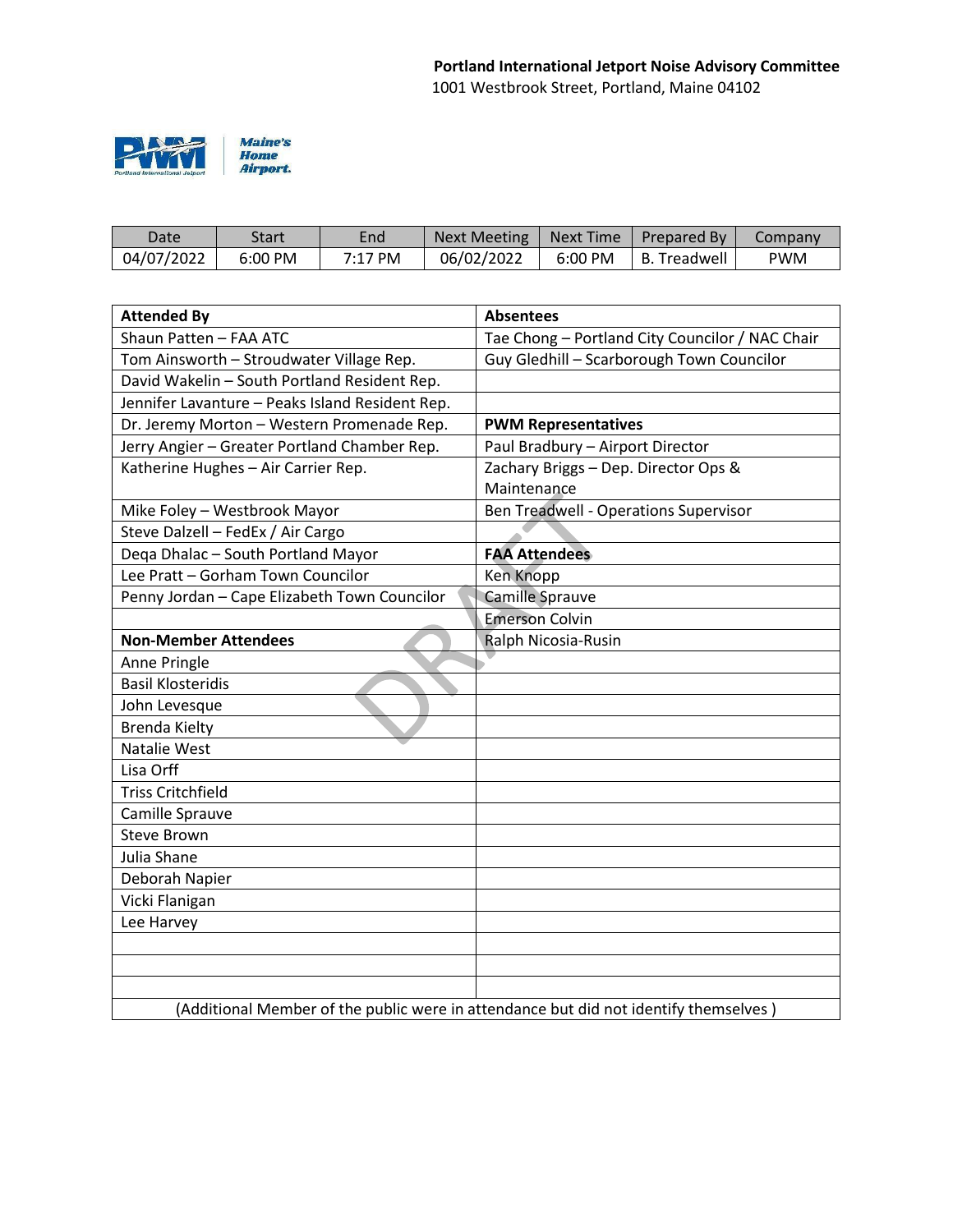

| Date       | Start             | End       | Next Meeting | Next Time | <b>Prepared By</b> | Company |
|------------|-------------------|-----------|--------------|-----------|--------------------|---------|
| 04/07/2022 | $6:00 \text{ PM}$ | $7:17$ PM | 06/02/2022   | 6:00 PM   | B. Treadwell       | PWM     |

| <b>Attended By</b>                                                                   | <b>Absentees</b>                                |  |  |  |
|--------------------------------------------------------------------------------------|-------------------------------------------------|--|--|--|
| Shaun Patten - FAA ATC                                                               | Tae Chong - Portland City Councilor / NAC Chair |  |  |  |
| Tom Ainsworth - Stroudwater Village Rep.                                             | Guy Gledhill - Scarborough Town Councilor       |  |  |  |
| David Wakelin - South Portland Resident Rep.                                         |                                                 |  |  |  |
| Jennifer Lavanture - Peaks Island Resident Rep.                                      |                                                 |  |  |  |
| Dr. Jeremy Morton - Western Promenade Rep.                                           | <b>PWM Representatives</b>                      |  |  |  |
| Jerry Angier - Greater Portland Chamber Rep.                                         | Paul Bradbury - Airport Director                |  |  |  |
| Katherine Hughes - Air Carrier Rep.                                                  | Zachary Briggs - Dep. Director Ops &            |  |  |  |
|                                                                                      | Maintenance                                     |  |  |  |
| Mike Foley - Westbrook Mayor                                                         | Ben Treadwell - Operations Supervisor           |  |  |  |
| Steve Dalzell - FedEx / Air Cargo                                                    |                                                 |  |  |  |
| Deqa Dhalac - South Portland Mayor                                                   | <b>FAA Attendees</b>                            |  |  |  |
| Lee Pratt - Gorham Town Councilor                                                    | <b>Ken Knopp</b>                                |  |  |  |
| Penny Jordan - Cape Elizabeth Town Councilor                                         | <b>Camille Sprauve</b>                          |  |  |  |
|                                                                                      | <b>Emerson Colvin</b>                           |  |  |  |
| <b>Non-Member Attendees</b>                                                          | Ralph Nicosia-Rusin                             |  |  |  |
| Anne Pringle                                                                         |                                                 |  |  |  |
| <b>Basil Klosteridis</b>                                                             |                                                 |  |  |  |
| John Levesque                                                                        |                                                 |  |  |  |
| <b>Brenda Kielty</b>                                                                 |                                                 |  |  |  |
| Natalie West                                                                         |                                                 |  |  |  |
| Lisa Orff                                                                            |                                                 |  |  |  |
| <b>Triss Critchfield</b>                                                             |                                                 |  |  |  |
| Camille Sprauve                                                                      |                                                 |  |  |  |
| <b>Steve Brown</b>                                                                   |                                                 |  |  |  |
| Julia Shane                                                                          |                                                 |  |  |  |
| Deborah Napier                                                                       |                                                 |  |  |  |
| Vicki Flanigan                                                                       |                                                 |  |  |  |
| Lee Harvey                                                                           |                                                 |  |  |  |
|                                                                                      |                                                 |  |  |  |
|                                                                                      |                                                 |  |  |  |
|                                                                                      |                                                 |  |  |  |
| (Additional Member of the public were in attendance but did not identify themselves) |                                                 |  |  |  |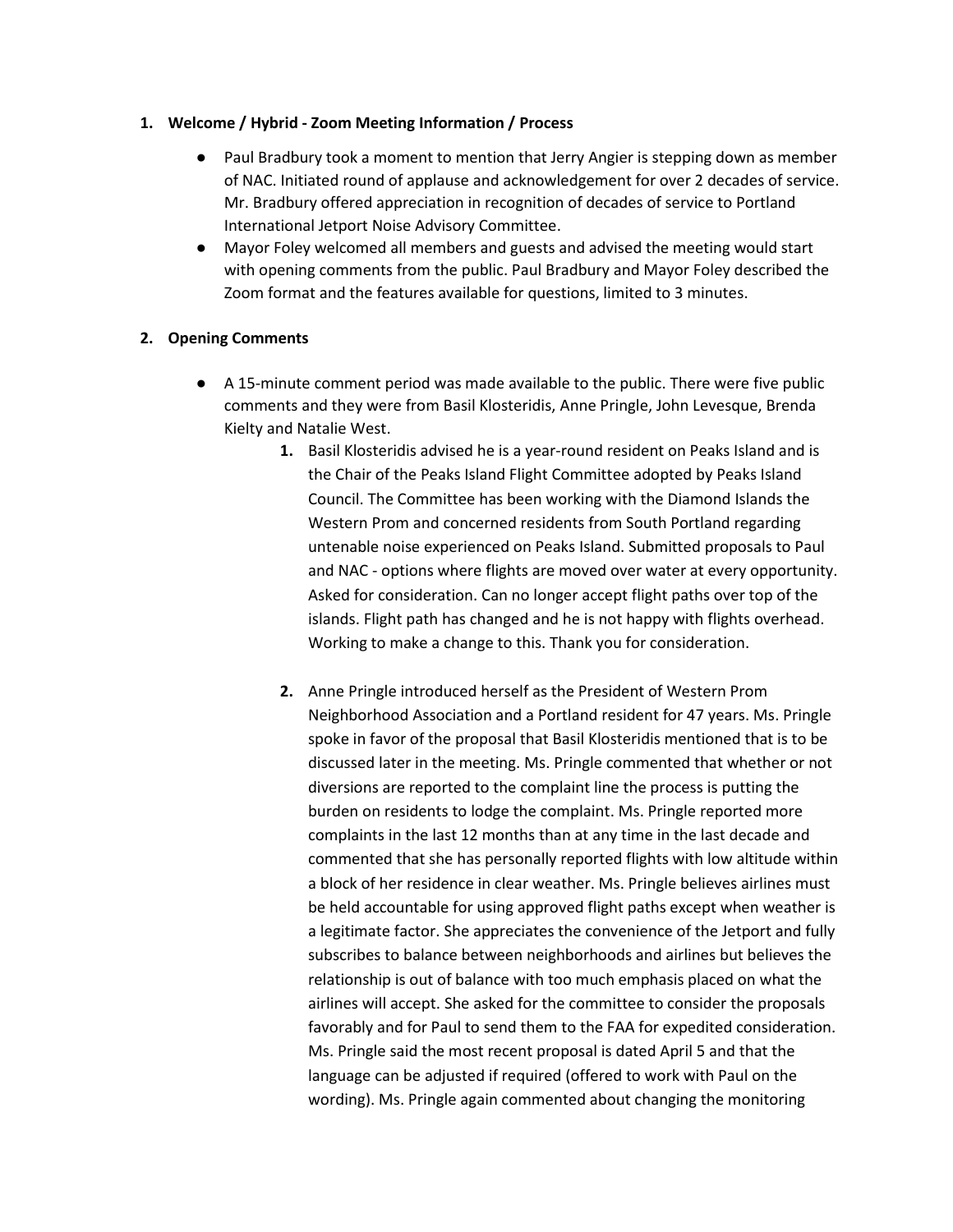#### **1. Welcome / Hybrid - Zoom Meeting Information / Process**

- Paul Bradbury took a moment to mention that Jerry Angier is stepping down as member of NAC. Initiated round of applause and acknowledgement for over 2 decades of service. Mr. Bradbury offered appreciation in recognition of decades of service to Portland International Jetport Noise Advisory Committee.
- Mayor Foley welcomed all members and guests and advised the meeting would start with opening comments from the public. Paul Bradbury and Mayor Foley described the Zoom format and the features available for questions, limited to 3 minutes.

## **2. Opening Comments**

- A 15-minute comment period was made available to the public. There were five public comments and they were from Basil Klosteridis, Anne Pringle, John Levesque, Brenda Kielty and Natalie West.
	- **1.** Basil Klosteridis advised he is a year-round resident on Peaks Island and is the Chair of the Peaks Island Flight Committee adopted by Peaks Island Council. The Committee has been working with the Diamond Islands the Western Prom and concerned residents from South Portland regarding untenable noise experienced on Peaks Island. Submitted proposals to Paul and NAC - options where flights are moved over water at every opportunity. Asked for consideration. Can no longer accept flight paths over top of the islands. Flight path has changed and he is not happy with flights overhead. Working to make a change to this. Thank you for consideration.
	- **2.** Anne Pringle introduced herself as the President of Western Prom Neighborhood Association and a Portland resident for 47 years. Ms. Pringle spoke in favor of the proposal that Basil Klosteridis mentioned that is to be discussed later in the meeting. Ms. Pringle commented that whether or not diversions are reported to the complaint line the process is putting the burden on residents to lodge the complaint. Ms. Pringle reported more complaints in the last 12 months than at any time in the last decade and commented that she has personally reported flights with low altitude within a block of her residence in clear weather. Ms. Pringle believes airlines must be held accountable for using approved flight paths except when weather is a legitimate factor. She appreciates the convenience of the Jetport and fully subscribes to balance between neighborhoods and airlines but believes the relationship is out of balance with too much emphasis placed on what the airlines will accept. She asked for the committee to consider the proposals favorably and for Paul to send them to the FAA for expedited consideration. Ms. Pringle said the most recent proposal is dated April 5 and that the language can be adjusted if required (offered to work with Paul on the wording). Ms. Pringle again commented about changing the monitoring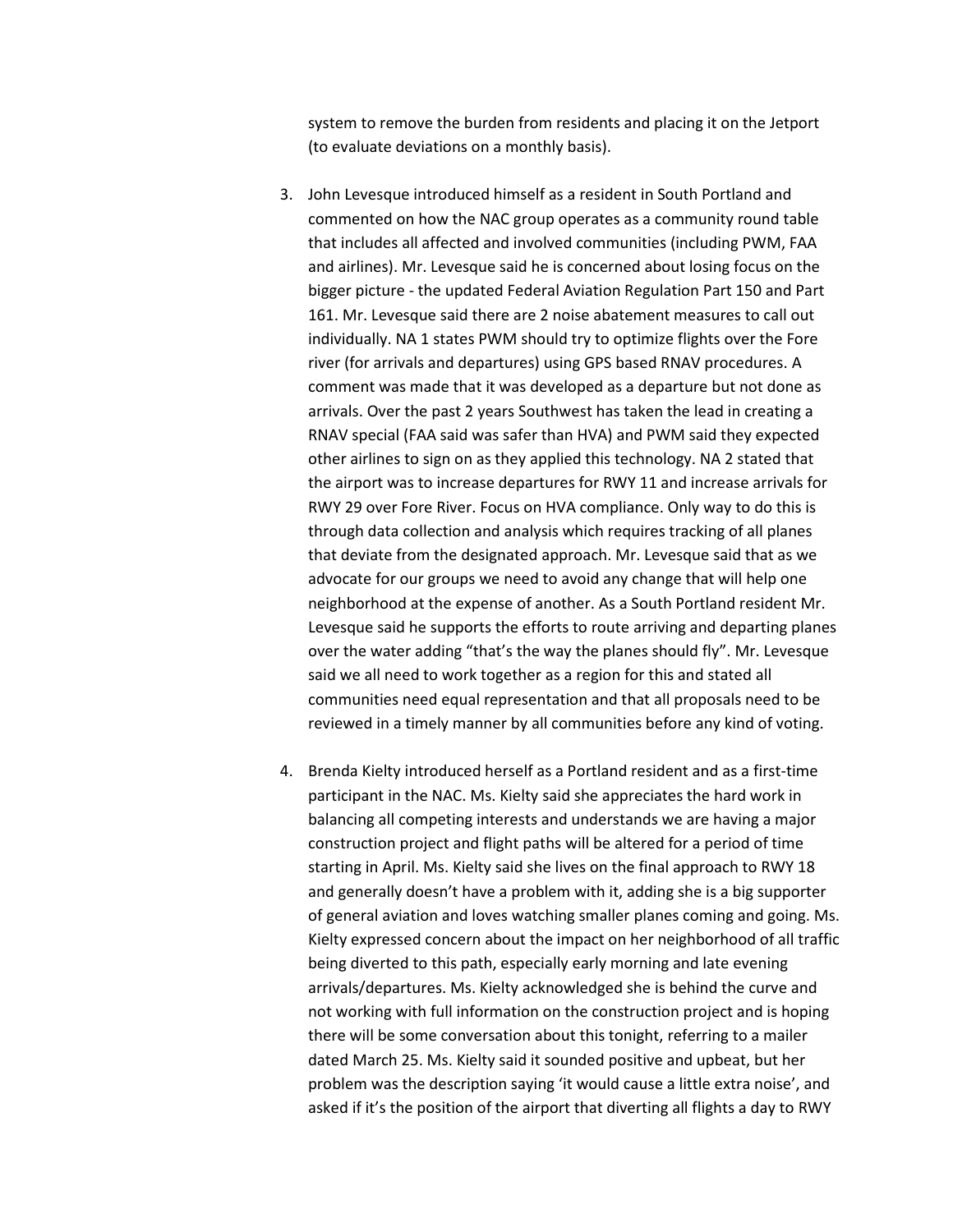system to remove the burden from residents and placing it on the Jetport (to evaluate deviations on a monthly basis).

- 3. John Levesque introduced himself as a resident in South Portland and commented on how the NAC group operates as a community round table that includes all affected and involved communities (including PWM, FAA and airlines). Mr. Levesque said he is concerned about losing focus on the bigger picture - the updated Federal Aviation Regulation Part 150 and Part 161. Mr. Levesque said there are 2 noise abatement measures to call out individually. NA 1 states PWM should try to optimize flights over the Fore river (for arrivals and departures) using GPS based RNAV procedures. A comment was made that it was developed as a departure but not done as arrivals. Over the past 2 years Southwest has taken the lead in creating a RNAV special (FAA said was safer than HVA) and PWM said they expected other airlines to sign on as they applied this technology. NA 2 stated that the airport was to increase departures for RWY 11 and increase arrivals for RWY 29 over Fore River. Focus on HVA compliance. Only way to do this is through data collection and analysis which requires tracking of all planes that deviate from the designated approach. Mr. Levesque said that as we advocate for our groups we need to avoid any change that will help one neighborhood at the expense of another. As a South Portland resident Mr. Levesque said he supports the efforts to route arriving and departing planes over the water adding "that's the way the planes should fly". Mr. Levesque said we all need to work together as a region for this and stated all communities need equal representation and that all proposals need to be reviewed in a timely manner by all communities before any kind of voting.
- 4. Brenda Kielty introduced herself as a Portland resident and as a first-time participant in the NAC. Ms. Kielty said she appreciates the hard work in balancing all competing interests and understands we are having a major construction project and flight paths will be altered for a period of time starting in April. Ms. Kielty said she lives on the final approach to RWY 18 and generally doesn't have a problem with it, adding she is a big supporter of general aviation and loves watching smaller planes coming and going. Ms. Kielty expressed concern about the impact on her neighborhood of all traffic being diverted to this path, especially early morning and late evening arrivals/departures. Ms. Kielty acknowledged she is behind the curve and not working with full information on the construction project and is hoping there will be some conversation about this tonight, referring to a mailer dated March 25. Ms. Kielty said it sounded positive and upbeat, but her problem was the description saying 'it would cause a little extra noise', and asked if it's the position of the airport that diverting all flights a day to RWY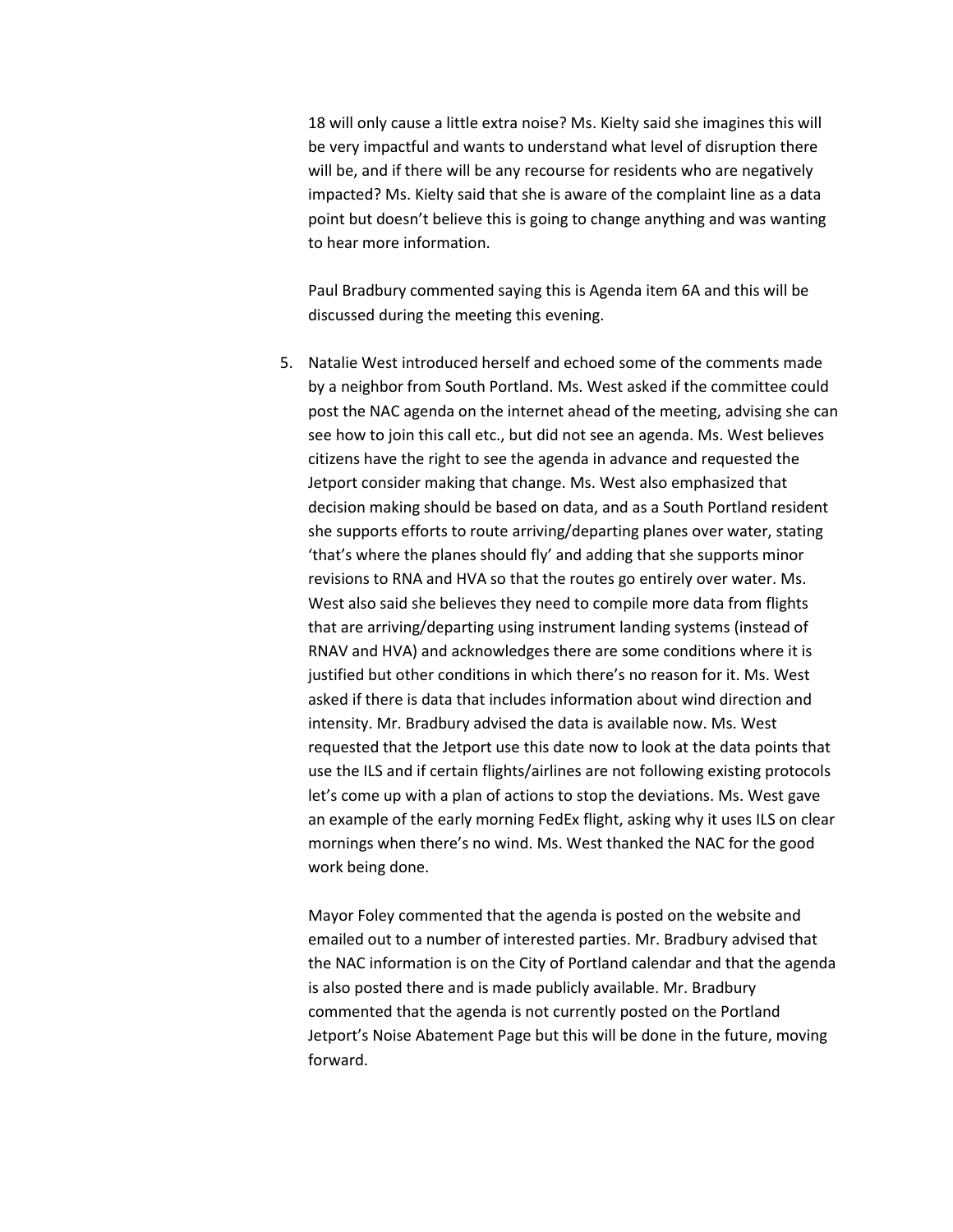18 will only cause a little extra noise? Ms. Kielty said she imagines this will be very impactful and wants to understand what level of disruption there will be, and if there will be any recourse for residents who are negatively impacted? Ms. Kielty said that she is aware of the complaint line as a data point but doesn't believe this is going to change anything and was wanting to hear more information.

Paul Bradbury commented saying this is Agenda item 6A and this will be discussed during the meeting this evening.

5. Natalie West introduced herself and echoed some of the comments made by a neighbor from South Portland. Ms. West asked if the committee could post the NAC agenda on the internet ahead of the meeting, advising she can see how to join this call etc., but did not see an agenda. Ms. West believes citizens have the right to see the agenda in advance and requested the Jetport consider making that change. Ms. West also emphasized that decision making should be based on data, and as a South Portland resident she supports efforts to route arriving/departing planes over water, stating 'that's where the planes should fly' and adding that she supports minor revisions to RNA and HVA so that the routes go entirely over water. Ms. West also said she believes they need to compile more data from flights that are arriving/departing using instrument landing systems (instead of RNAV and HVA) and acknowledges there are some conditions where it is justified but other conditions in which there's no reason for it. Ms. West asked if there is data that includes information about wind direction and intensity. Mr. Bradbury advised the data is available now. Ms. West requested that the Jetport use this date now to look at the data points that use the ILS and if certain flights/airlines are not following existing protocols let's come up with a plan of actions to stop the deviations. Ms. West gave an example of the early morning FedEx flight, asking why it uses ILS on clear mornings when there's no wind. Ms. West thanked the NAC for the good work being done.

Mayor Foley commented that the agenda is posted on the website and emailed out to a number of interested parties. Mr. Bradbury advised that the NAC information is on the City of Portland calendar and that the agenda is also posted there and is made publicly available. Mr. Bradbury commented that the agenda is not currently posted on the Portland Jetport's Noise Abatement Page but this will be done in the future, moving forward.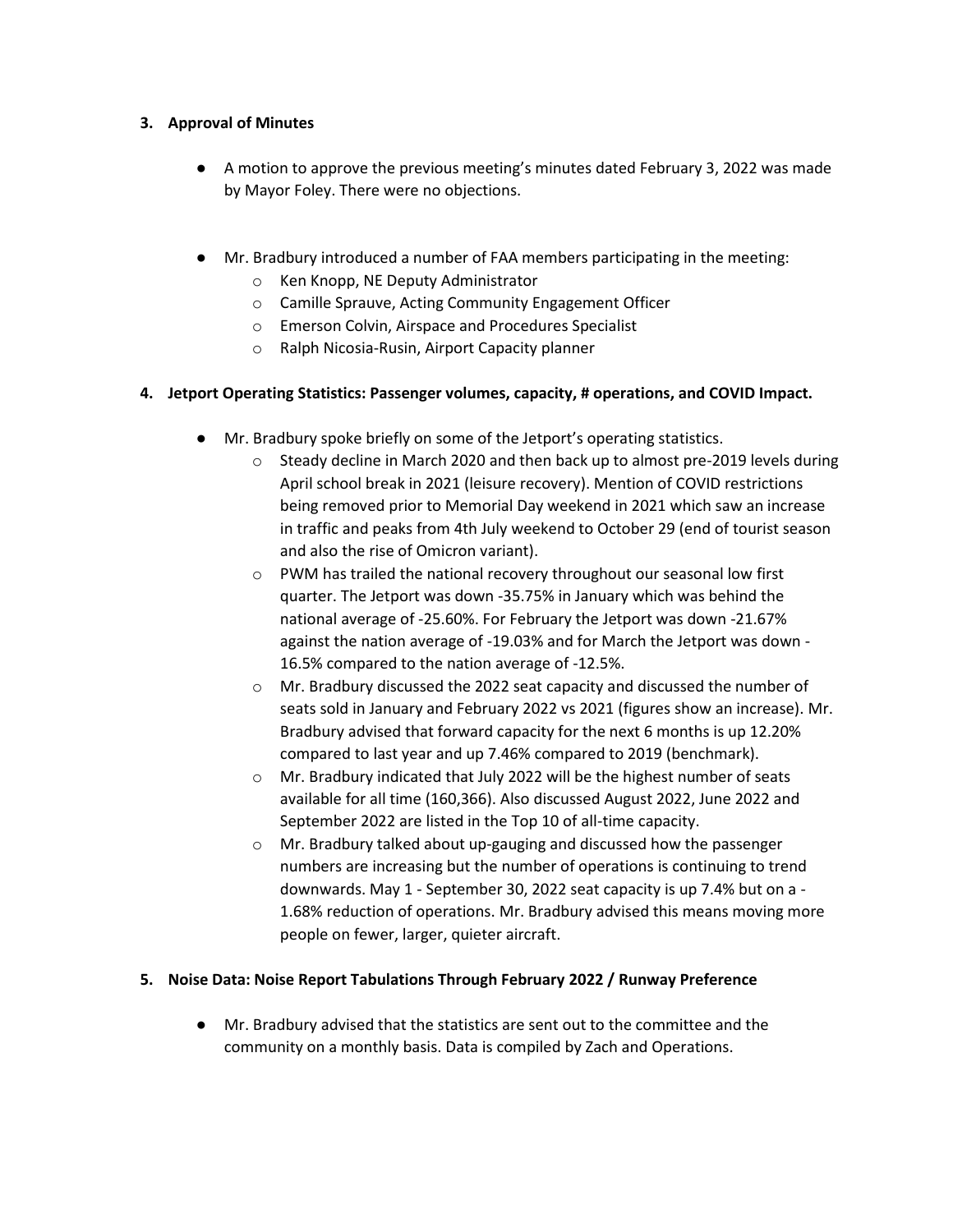### **3. Approval of Minutes**

- A motion to approve the previous meeting's minutes dated February 3, 2022 was made by Mayor Foley. There were no objections.
- Mr. Bradbury introduced a number of FAA members participating in the meeting:
	- o Ken Knopp, NE Deputy Administrator
	- o Camille Sprauve, Acting Community Engagement Officer
	- o Emerson Colvin, Airspace and Procedures Specialist
	- o Ralph Nicosia-Rusin, Airport Capacity planner

## **4. Jetport Operating Statistics: Passenger volumes, capacity, # operations, and COVID Impact.**

- Mr. Bradbury spoke briefly on some of the Jetport's operating statistics.
	- o Steady decline in March 2020 and then back up to almost pre-2019 levels during April school break in 2021 (leisure recovery). Mention of COVID restrictions being removed prior to Memorial Day weekend in 2021 which saw an increase in traffic and peaks from 4th July weekend to October 29 (end of tourist season and also the rise of Omicron variant).
	- o PWM has trailed the national recovery throughout our seasonal low first quarter. The Jetport was down -35.75% in January which was behind the national average of -25.60%. For February the Jetport was down -21.67% against the nation average of -19.03% and for March the Jetport was down - 16.5% compared to the nation average of -12.5%.
	- o Mr. Bradbury discussed the 2022 seat capacity and discussed the number of seats sold in January and February 2022 vs 2021 (figures show an increase). Mr. Bradbury advised that forward capacity for the next 6 months is up 12.20% compared to last year and up 7.46% compared to 2019 (benchmark).
	- o Mr. Bradbury indicated that July 2022 will be the highest number of seats available for all time (160,366). Also discussed August 2022, June 2022 and September 2022 are listed in the Top 10 of all-time capacity.
	- o Mr. Bradbury talked about up-gauging and discussed how the passenger numbers are increasing but the number of operations is continuing to trend downwards. May 1 - September 30, 2022 seat capacity is up 7.4% but on a - 1.68% reduction of operations. Mr. Bradbury advised this means moving more people on fewer, larger, quieter aircraft.

## **5. Noise Data: Noise Report Tabulations Through February 2022 / Runway Preference**

● Mr. Bradbury advised that the statistics are sent out to the committee and the community on a monthly basis. Data is compiled by Zach and Operations.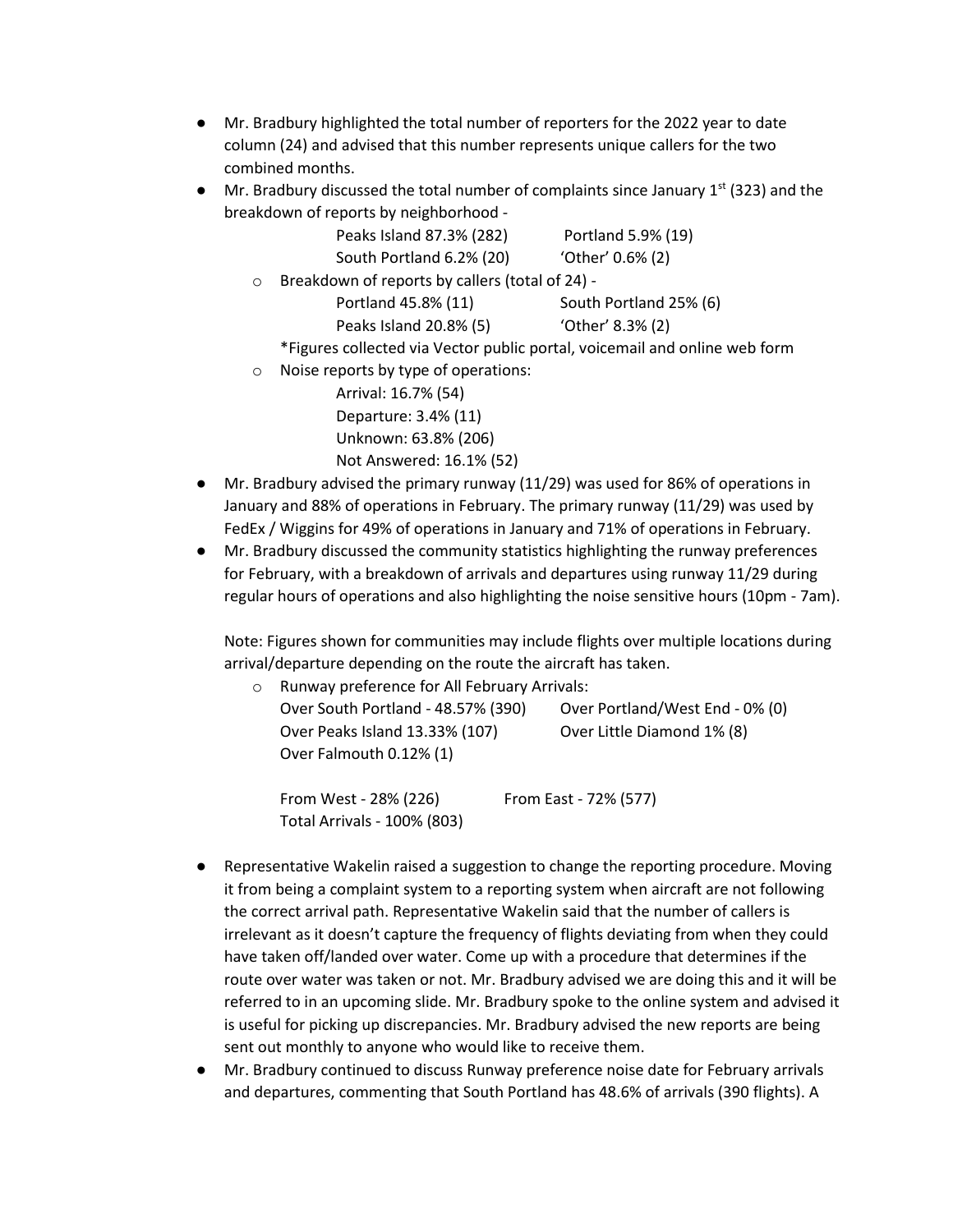- Mr. Bradbury highlighted the total number of reporters for the 2022 year to date column (24) and advised that this number represents unique callers for the two combined months.
- $\bullet$  Mr. Bradbury discussed the total number of complaints since January 1st (323) and the breakdown of reports by neighborhood -

|         | Peaks Island 87.3% (282)                                                   | Portland 5.9% (19)     |  |  |
|---------|----------------------------------------------------------------------------|------------------------|--|--|
|         | South Portland 6.2% (20)                                                   | 'Other' 0.6% (2)       |  |  |
| $\circ$ | Breakdown of reports by callers (total of 24) -                            |                        |  |  |
|         | Portland 45.8% (11)                                                        | South Portland 25% (6) |  |  |
|         | Peaks Island 20.8% (5)                                                     | 'Other' 8.3% (2)       |  |  |
|         | *Figures collected via Vector public portal, voicemail and online web form |                        |  |  |
| $\circ$ | Noise reports by type of operations:                                       |                        |  |  |
|         | Arrival: 16.7% (54)                                                        |                        |  |  |
|         |                                                                            |                        |  |  |

Departure: 3.4% (11) Unknown: 63.8% (206) Not Answered: 16.1% (52)

Total Arrivals - 100% (803)

- Mr. Bradbury advised the primary runway (11/29) was used for 86% of operations in January and 88% of operations in February. The primary runway (11/29) was used by FedEx / Wiggins for 49% of operations in January and 71% of operations in February.
- Mr. Bradbury discussed the community statistics highlighting the runway preferences for February, with a breakdown of arrivals and departures using runway 11/29 during regular hours of operations and also highlighting the noise sensitive hours (10pm - 7am).

Note: Figures shown for communities may include flights over multiple locations during arrival/departure depending on the route the aircraft has taken.

| $\circ$ |                                    | Runway preference for All February Arrivals: |                            |  |  |  |
|---------|------------------------------------|----------------------------------------------|----------------------------|--|--|--|
|         | Over South Portland - 48.57% (390) | Over Portland/West End - 0% (0)              |                            |  |  |  |
|         | Over Peaks Island 13.33% (107)     |                                              | Over Little Diamond 1% (8) |  |  |  |
|         | Over Falmouth 0.12% (1)            |                                              |                            |  |  |  |
|         | From West - 28% (226)              |                                              | From East - 72% (577)      |  |  |  |

- Representative Wakelin raised a suggestion to change the reporting procedure. Moving it from being a complaint system to a reporting system when aircraft are not following the correct arrival path. Representative Wakelin said that the number of callers is irrelevant as it doesn't capture the frequency of flights deviating from when they could have taken off/landed over water. Come up with a procedure that determines if the route over water was taken or not. Mr. Bradbury advised we are doing this and it will be referred to in an upcoming slide. Mr. Bradbury spoke to the online system and advised it is useful for picking up discrepancies. Mr. Bradbury advised the new reports are being sent out monthly to anyone who would like to receive them.
- Mr. Bradbury continued to discuss Runway preference noise date for February arrivals and departures, commenting that South Portland has 48.6% of arrivals (390 flights). A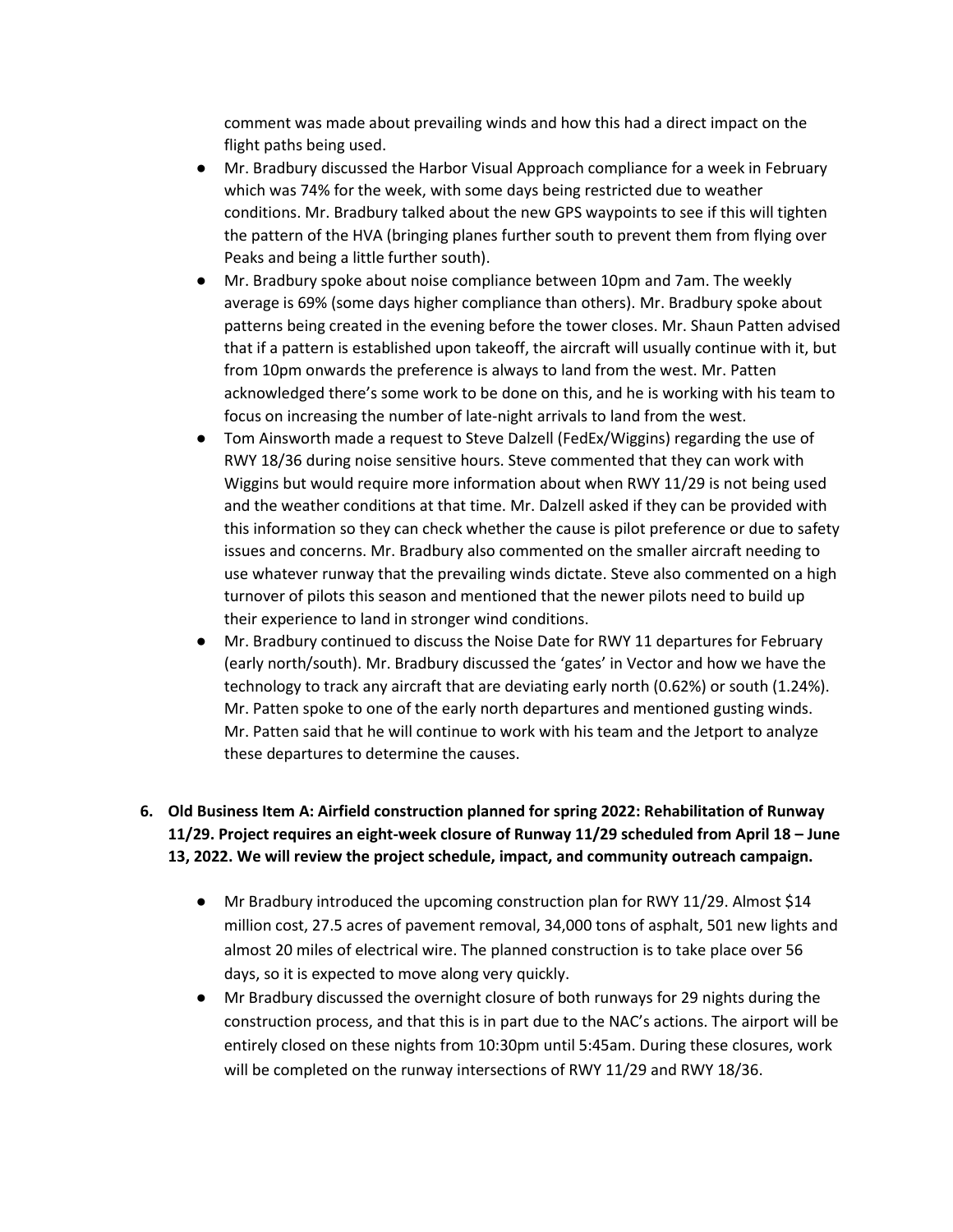comment was made about prevailing winds and how this had a direct impact on the flight paths being used.

- Mr. Bradbury discussed the Harbor Visual Approach compliance for a week in February which was 74% for the week, with some days being restricted due to weather conditions. Mr. Bradbury talked about the new GPS waypoints to see if this will tighten the pattern of the HVA (bringing planes further south to prevent them from flying over Peaks and being a little further south).
- Mr. Bradbury spoke about noise compliance between 10pm and 7am. The weekly average is 69% (some days higher compliance than others). Mr. Bradbury spoke about patterns being created in the evening before the tower closes. Mr. Shaun Patten advised that if a pattern is established upon takeoff, the aircraft will usually continue with it, but from 10pm onwards the preference is always to land from the west. Mr. Patten acknowledged there's some work to be done on this, and he is working with his team to focus on increasing the number of late-night arrivals to land from the west.
- Tom Ainsworth made a request to Steve Dalzell (FedEx/Wiggins) regarding the use of RWY 18/36 during noise sensitive hours. Steve commented that they can work with Wiggins but would require more information about when RWY 11/29 is not being used and the weather conditions at that time. Mr. Dalzell asked if they can be provided with this information so they can check whether the cause is pilot preference or due to safety issues and concerns. Mr. Bradbury also commented on the smaller aircraft needing to use whatever runway that the prevailing winds dictate. Steve also commented on a high turnover of pilots this season and mentioned that the newer pilots need to build up their experience to land in stronger wind conditions.
- Mr. Bradbury continued to discuss the Noise Date for RWY 11 departures for February (early north/south). Mr. Bradbury discussed the 'gates' in Vector and how we have the technology to track any aircraft that are deviating early north (0.62%) or south (1.24%). Mr. Patten spoke to one of the early north departures and mentioned gusting winds. Mr. Patten said that he will continue to work with his team and the Jetport to analyze these departures to determine the causes.

# **6. Old Business Item A: Airfield construction planned for spring 2022: Rehabilitation of Runway 11/29. Project requires an eight-week closure of Runway 11/29 scheduled from April 18 – June 13, 2022. We will review the project schedule, impact, and community outreach campaign.**

- Mr Bradbury introduced the upcoming construction plan for RWY 11/29. Almost \$14 million cost, 27.5 acres of pavement removal, 34,000 tons of asphalt, 501 new lights and almost 20 miles of electrical wire. The planned construction is to take place over 56 days, so it is expected to move along very quickly.
- Mr Bradbury discussed the overnight closure of both runways for 29 nights during the construction process, and that this is in part due to the NAC's actions. The airport will be entirely closed on these nights from 10:30pm until 5:45am. During these closures, work will be completed on the runway intersections of RWY 11/29 and RWY 18/36.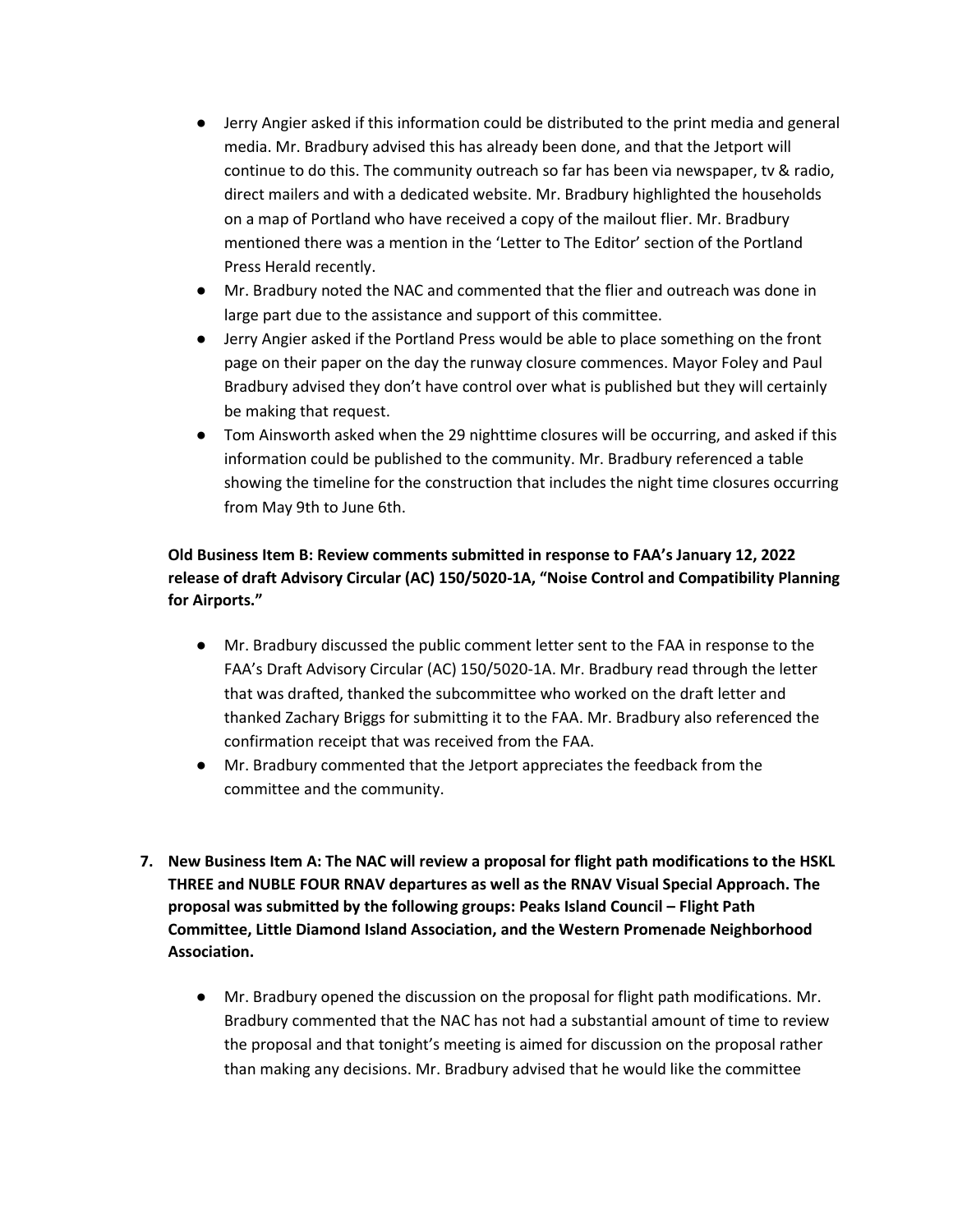- Jerry Angier asked if this information could be distributed to the print media and general media. Mr. Bradbury advised this has already been done, and that the Jetport will continue to do this. The community outreach so far has been via newspaper, tv & radio, direct mailers and with a dedicated website. Mr. Bradbury highlighted the households on a map of Portland who have received a copy of the mailout flier. Mr. Bradbury mentioned there was a mention in the 'Letter to The Editor' section of the Portland Press Herald recently.
- Mr. Bradbury noted the NAC and commented that the flier and outreach was done in large part due to the assistance and support of this committee.
- Jerry Angier asked if the Portland Press would be able to place something on the front page on their paper on the day the runway closure commences. Mayor Foley and Paul Bradbury advised they don't have control over what is published but they will certainly be making that request.
- Tom Ainsworth asked when the 29 nighttime closures will be occurring, and asked if this information could be published to the community. Mr. Bradbury referenced a table showing the timeline for the construction that includes the night time closures occurring from May 9th to June 6th.

# **Old Business Item B: Review comments submitted in response to FAA's January 12, 2022 release of draft Advisory Circular (AC) 150/5020-1A, "Noise Control and Compatibility Planning for Airports."**

- Mr. Bradbury discussed the public comment letter sent to the FAA in response to the FAA's Draft Advisory Circular (AC) 150/5020-1A. Mr. Bradbury read through the letter that was drafted, thanked the subcommittee who worked on the draft letter and thanked Zachary Briggs for submitting it to the FAA. Mr. Bradbury also referenced the confirmation receipt that was received from the FAA.
- Mr. Bradbury commented that the Jetport appreciates the feedback from the committee and the community.
- **7. New Business Item A: The NAC will review a proposal for flight path modifications to the HSKL THREE and NUBLE FOUR RNAV departures as well as the RNAV Visual Special Approach. The proposal was submitted by the following groups: Peaks Island Council – Flight Path Committee, Little Diamond Island Association, and the Western Promenade Neighborhood Association.**
	- Mr. Bradbury opened the discussion on the proposal for flight path modifications. Mr. Bradbury commented that the NAC has not had a substantial amount of time to review the proposal and that tonight's meeting is aimed for discussion on the proposal rather than making any decisions. Mr. Bradbury advised that he would like the committee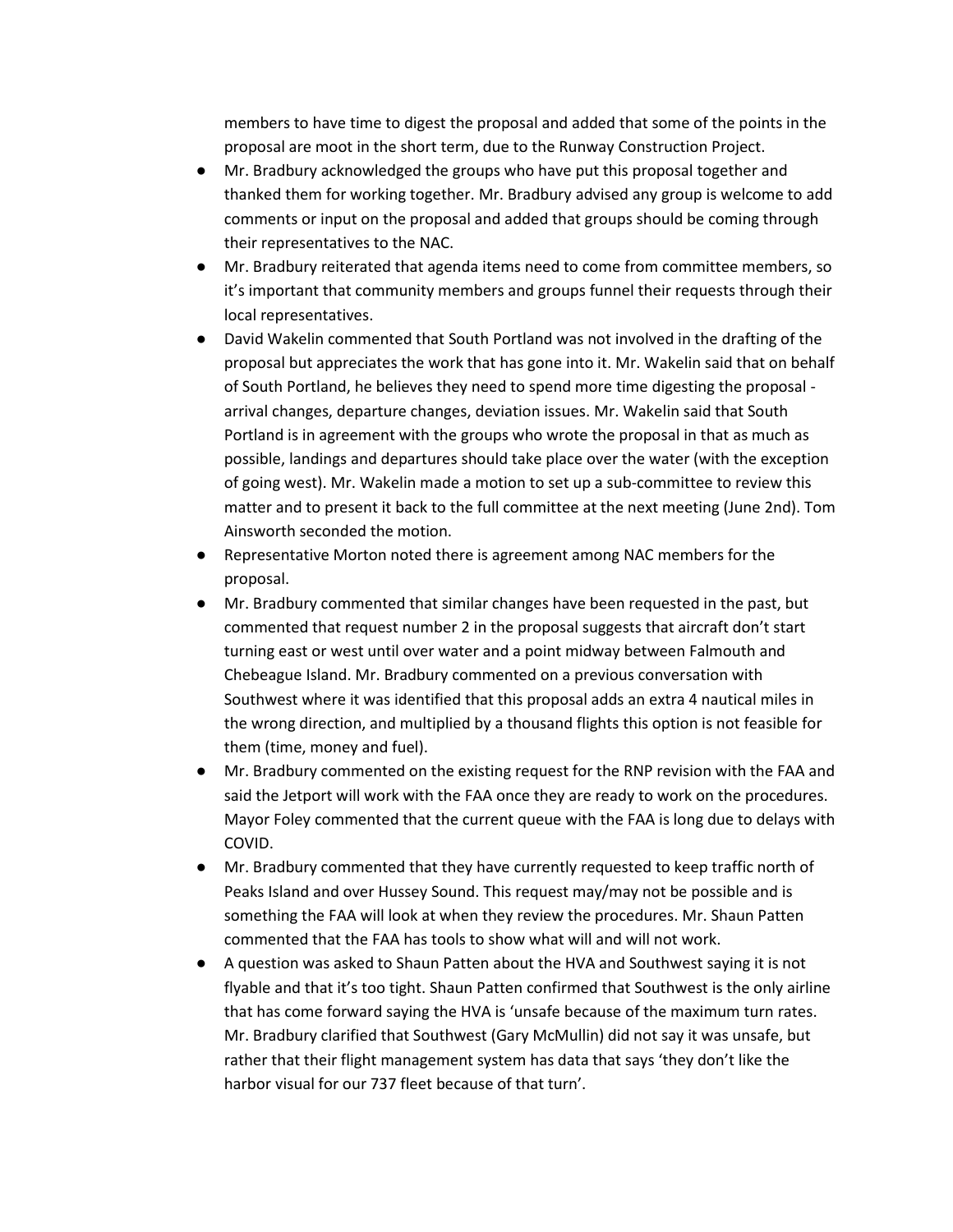members to have time to digest the proposal and added that some of the points in the proposal are moot in the short term, due to the Runway Construction Project.

- Mr. Bradbury acknowledged the groups who have put this proposal together and thanked them for working together. Mr. Bradbury advised any group is welcome to add comments or input on the proposal and added that groups should be coming through their representatives to the NAC.
- Mr. Bradbury reiterated that agenda items need to come from committee members, so it's important that community members and groups funnel their requests through their local representatives.
- David Wakelin commented that South Portland was not involved in the drafting of the proposal but appreciates the work that has gone into it. Mr. Wakelin said that on behalf of South Portland, he believes they need to spend more time digesting the proposal arrival changes, departure changes, deviation issues. Mr. Wakelin said that South Portland is in agreement with the groups who wrote the proposal in that as much as possible, landings and departures should take place over the water (with the exception of going west). Mr. Wakelin made a motion to set up a sub-committee to review this matter and to present it back to the full committee at the next meeting (June 2nd). Tom Ainsworth seconded the motion.
- Representative Morton noted there is agreement among NAC members for the proposal.
- Mr. Bradbury commented that similar changes have been requested in the past, but commented that request number 2 in the proposal suggests that aircraft don't start turning east or west until over water and a point midway between Falmouth and Chebeague Island. Mr. Bradbury commented on a previous conversation with Southwest where it was identified that this proposal adds an extra 4 nautical miles in the wrong direction, and multiplied by a thousand flights this option is not feasible for them (time, money and fuel).
- Mr. Bradbury commented on the existing request for the RNP revision with the FAA and said the Jetport will work with the FAA once they are ready to work on the procedures. Mayor Foley commented that the current queue with the FAA is long due to delays with COVID.
- Mr. Bradbury commented that they have currently requested to keep traffic north of Peaks Island and over Hussey Sound. This request may/may not be possible and is something the FAA will look at when they review the procedures. Mr. Shaun Patten commented that the FAA has tools to show what will and will not work.
- A question was asked to Shaun Patten about the HVA and Southwest saying it is not flyable and that it's too tight. Shaun Patten confirmed that Southwest is the only airline that has come forward saying the HVA is 'unsafe because of the maximum turn rates. Mr. Bradbury clarified that Southwest (Gary McMullin) did not say it was unsafe, but rather that their flight management system has data that says 'they don't like the harbor visual for our 737 fleet because of that turn'.